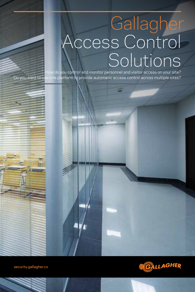# Gallagher Access Control Solutions

How do you control and monitor personnel and visitor access on your site? Do you want to use one platform to provide automatic access control across multiple sites?

security.gallagher.co

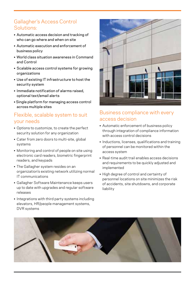# Gallagher's Access Control Solutions:

- • Automatic access decision and tracking of who can go where and when on site
- • Automatic execution and enforcement of business policy
- • World class situation awareness in Command and Control
- • Scalable access control systems for growing organizations
- • Use of existing IT infrastructure to host the security system
- Immediate notification of alarms raised. optional text/email alerts
- Single platform for managing access control across multiple sites

## Flexible, scalable system to suit your needs

- • Options to customize, to create the perfect security solution for any organization
- Cater from zero doors to multi-site, global systems
- Monitoring and control of people on site using electronic card readers, biometric fingerprint readers, and keypads
- The Gallagher system resides on an organization's existing network utilizing normal IT communications
- • Gallagher Software Maintenance keeps users up to date with upgrades and regular software releases
- Integrations with third party systems including elevators, HR/people management systems, DVR systems



## Business compliance with every access decision

- Automatic enforcement of business policy through integration of compliance information with access control decisions
- Inductions, licenses, qualifications and training of personnel can be monitored within the access system
- • Real-time audit trail enables access decisions and requirements to be quickly adjusted and implemented
- High degree of control and certainty of personnel locations on site minimizes the risk of accidents, site shutdowns, and corporate liability

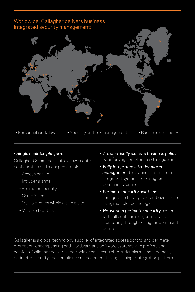# Worldwide, Gallagher delivers business integrated security management:

- 
- Personnel workflow Security and risk management Business continuity

## • *Single scalable platform*

Gallagher Command Centre allows central configuration and management of:

- Access control
- Intruder alarms
- Perimeter security
- Compliance
- Multiple zones within a single site
- Multiple facilities
- *Automatically execute business policy* by enforcing compliance with regulation
- *Fully integrated intruder alarm management* to channel alarms from integrated systems to Gallagher Command Centre
- • *Perimeter security solutions* configurable for any type and size of site using multiple technologies
- *Networked perimeter security* system with full configuration, control and monitoring through Gallagher Command Centre

Gallagher is a global technology supplier of integrated access control and perimeter protection, encompassing both hardware and software systems, and professional services. Gallagher delivers electronic access control, intruder alarms management, perimeter security and compliance management through a single integration platform.